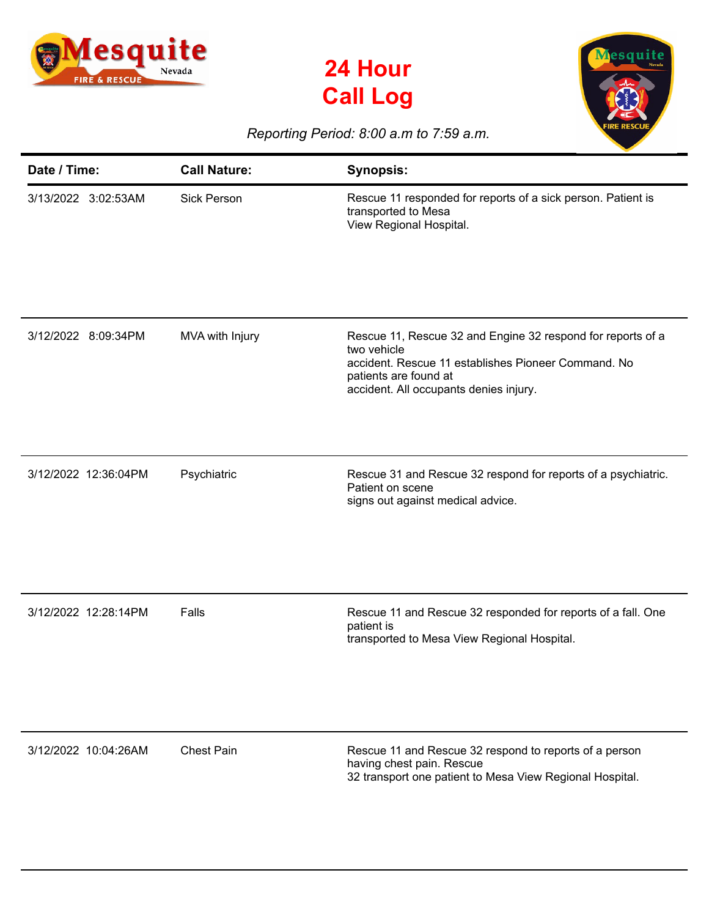





## *Reporting Period: 8:00 a.m to 7:59 a.m.*

| Date / Time:         | <b>Call Nature:</b> | <b>Synopsis:</b>                                                                                                                                                                                     |
|----------------------|---------------------|------------------------------------------------------------------------------------------------------------------------------------------------------------------------------------------------------|
| 3/13/2022 3:02:53AM  | <b>Sick Person</b>  | Rescue 11 responded for reports of a sick person. Patient is<br>transported to Mesa<br>View Regional Hospital.                                                                                       |
| 3/12/2022 8:09:34PM  | MVA with Injury     | Rescue 11, Rescue 32 and Engine 32 respond for reports of a<br>two vehicle<br>accident. Rescue 11 establishes Pioneer Command. No<br>patients are found at<br>accident. All occupants denies injury. |
| 3/12/2022 12:36:04PM | Psychiatric         | Rescue 31 and Rescue 32 respond for reports of a psychiatric.<br>Patient on scene<br>signs out against medical advice.                                                                               |
| 3/12/2022 12:28:14PM | Falls               | Rescue 11 and Rescue 32 responded for reports of a fall. One<br>patient is<br>transported to Mesa View Regional Hospital.                                                                            |
| 3/12/2022 10:04:26AM | <b>Chest Pain</b>   | Rescue 11 and Rescue 32 respond to reports of a person<br>having chest pain. Rescue<br>32 transport one patient to Mesa View Regional Hospital.                                                      |